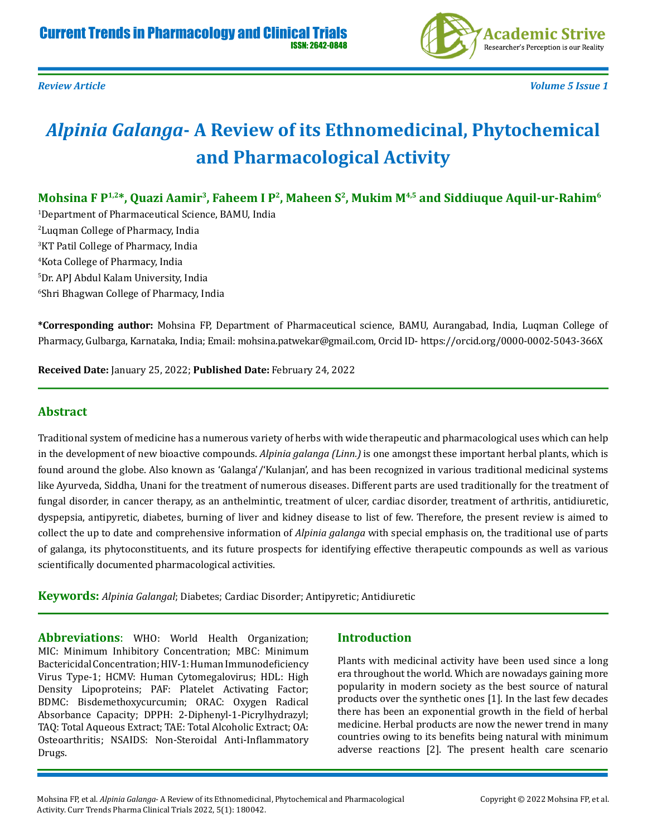

*Review Article Volume 5 Issue 1*

# *Alpinia Galanga***- A Review of its Ethnomedicinal, Phytochemical and Pharmacological Activity**

Mohsina F P<sup>1,2\*</sup>, Quazi Aamir<sup>3</sup>, Faheem I P<sup>2</sup>, Maheen S<sup>2</sup>, Mukim M<sup>4,5</sup> and Siddiuque Aquil-ur-Rahim<sup>6</sup>

 Department of Pharmaceutical Science, BAMU, India Luqman College of Pharmacy, India KT Patil College of Pharmacy, India Kota College of Pharmacy, India Dr. APJ Abdul Kalam University, India Shri Bhagwan College of Pharmacy, India

**\*Corresponding author:** Mohsina FP, Department of Pharmaceutical science, BAMU, Aurangabad, India, Luqman College of Pharmacy, Gulbarga, Karnataka, India; Email: mohsina.patwekar@gmail.com, Orcid ID- https://orcid.org/0000-0002-5043-366X

**Received Date:** January 25, 2022; **Published Date:** February 24, 2022

# **Abstract**

Traditional system of medicine has a numerous variety of herbs with wide therapeutic and pharmacological uses which can help in the development of new bioactive compounds. *Alpinia galanga (Linn.)* is one amongst these important herbal plants, which is found around the globe. Also known as 'Galanga'/'Kulanjan', and has been recognized in various traditional medicinal systems like Ayurveda, Siddha, Unani for the treatment of numerous diseases. Different parts are used traditionally for the treatment of fungal disorder, in cancer therapy, as an anthelmintic, treatment of ulcer, cardiac disorder, treatment of arthritis, antidiuretic, dyspepsia, antipyretic, diabetes, burning of liver and kidney disease to list of few. Therefore, the present review is aimed to collect the up to date and comprehensive information of *Alpinia galanga* with special emphasis on, the traditional use of parts of galanga, its phytoconstituents, and its future prospects for identifying effective therapeutic compounds as well as various scientifically documented pharmacological activities.

**Keywords:** *Alpinia Galangal*; Diabetes; Cardiac Disorder; Antipyretic; Antidiuretic

**Abbreviations**: WHO: World Health Organization; MIC: Minimum Inhibitory Concentration; MBC: Minimum Bactericidal Concentration; HIV-1: Human Immunodeficiency Virus Type-1; HCMV: Human Cytomegalovirus; HDL: High Density Lipoproteins; PAF: Platelet Activating Factor; BDMC: Bisdemethoxycurcumin; ORAC: Oxygen Radical Absorbance Capacity; DPPH: 2-Diphenyl-1-Picrylhydrazyl; TAQ: Total Aqueous Extract; TAE: Total Alcoholic Extract; OA: Osteoarthritis; NSAIDS: Non-Steroidal Anti-Inflammatory Drugs.

#### **Introduction**

Plants with medicinal activity have been used since a long era throughout the world. Which are nowadays gaining more popularity in modern society as the best source of natural products over the synthetic ones [1]. In the last few decades there has been an exponential growth in the field of herbal medicine. Herbal products are now the newer trend in many countries owing to its benefits being natural with minimum adverse reactions [2]. The present health care scenario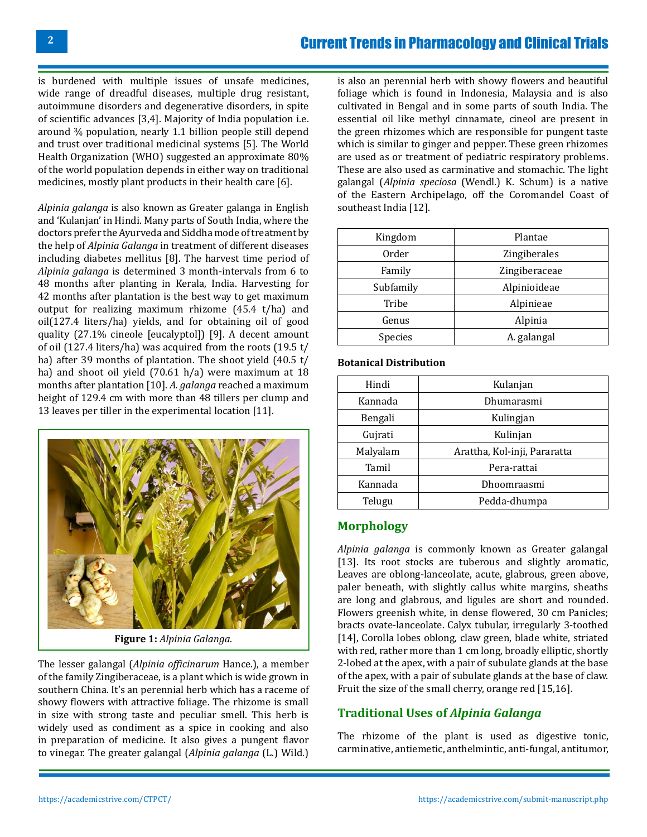is burdened with multiple issues of unsafe medicines, wide range of dreadful diseases, multiple drug resistant, autoimmune disorders and degenerative disorders, in spite of scientific advances [3,4]. Majority of India population i.e. around ¾ population, nearly 1.1 billion people still depend and trust over traditional medicinal systems [5]. The World Health Organization (WHO) suggested an approximate 80% of the world population depends in either way on traditional medicines, mostly plant products in their health care [6].

*Alpinia galanga* is also known as Greater galanga in English and 'Kulanjan' in Hindi. Many parts of South India, where the doctors prefer the Ayurveda and Siddha mode of treatment by the help of *Alpinia Galanga* in treatment of different diseases including diabetes mellitus [8]. The harvest time period of *Alpinia galanga* is determined 3 month-intervals from 6 to 48 months after planting in Kerala, India. Harvesting for 42 months after plantation is the best way to get maximum output for realizing maximum rhizome (45.4 t/ha) and oil(127.4 liters/ha) yields, and for obtaining oil of good quality (27.1% cineole [eucalyptol]) [9]. A decent amount of oil (127.4 liters/ha) was acquired from the roots (19.5 t/ ha) after 39 months of plantation. The shoot yield (40.5 t/ ha) and shoot oil yield (70.61 h/a) were maximum at 18 months after plantation [10]. *A. galanga* reached a maximum height of 129.4 cm with more than 48 tillers per clump and 13 leaves per tiller in the experimental location [11].



**Figure 1:** *Alpinia Galanga*.

The lesser galangal (*Alpinia officinarum* Hance.), a member of the family Zingiberaceae, is a plant which is wide grown in southern China. It's an perennial herb which has a raceme of showy flowers with attractive foliage. The rhizome is small in size with strong taste and peculiar smell. This herb is widely used as condiment as a spice in cooking and also in preparation of medicine. It also gives a pungent flavor to vinegar. The greater galangal (*Alpinia galanga* (L.) Wild.) is also an perennial herb with showy flowers and beautiful foliage which is found in Indonesia, Malaysia and is also cultivated in Bengal and in some parts of south India. The essential oil like methyl cinnamate, cineol are present in the green rhizomes which are responsible for pungent taste which is similar to ginger and pepper. These green rhizomes are used as or treatment of pediatric respiratory problems. These are also used as carminative and stomachic. The light galangal (*Alpinia speciosa* (Wendl.) K. Schum) is a native of the Eastern Archipelago, off the Coromandel Coast of southeast India [12].

| Kingdom   | Plantae       |
|-----------|---------------|
| Order     | Zingiberales  |
| Family    | Zingiberaceae |
| Subfamily | Alpinioideae  |
| Tribe     | Alpinieae     |
| Genus     | Alpinia       |
| Species   | A. galangal   |

#### **Botanical Distribution**

| Hindi    | Kulanjan                     |
|----------|------------------------------|
| Kannada  | Dhumarasmi                   |
| Bengali  | Kulingjan                    |
| Gujrati  | Kulinjan                     |
| Malyalam | Arattha, Kol-inji, Pararatta |
| Tamil    | Pera-rattai                  |
| Kannada  | Dhoomraasmi                  |
| Telugu   | Pedda-dhumpa                 |

# **Morphology**

*Alpinia galanga* is commonly known as Greater galangal [13]. Its root stocks are tuberous and slightly aromatic, Leaves are oblong-lanceolate, acute, glabrous, green above, paler beneath, with slightly callus white margins, sheaths are long and glabrous, and ligules are short and rounded. Flowers greenish white, in dense flowered, 30 cm Panicles; bracts ovate-lanceolate. Calyx tubular, irregularly 3-toothed [14], Corolla lobes oblong, claw green, blade white, striated with red, rather more than 1 cm long, broadly elliptic, shortly 2-lobed at the apex, with a pair of subulate glands at the base of the apex, with a pair of subulate glands at the base of claw. Fruit the size of the small cherry, orange red [15,16].

# **Traditional Uses of** *Alpinia Galanga*

The rhizome of the plant is used as digestive tonic, carminative, antiemetic, anthelmintic, anti-fungal, antitumor,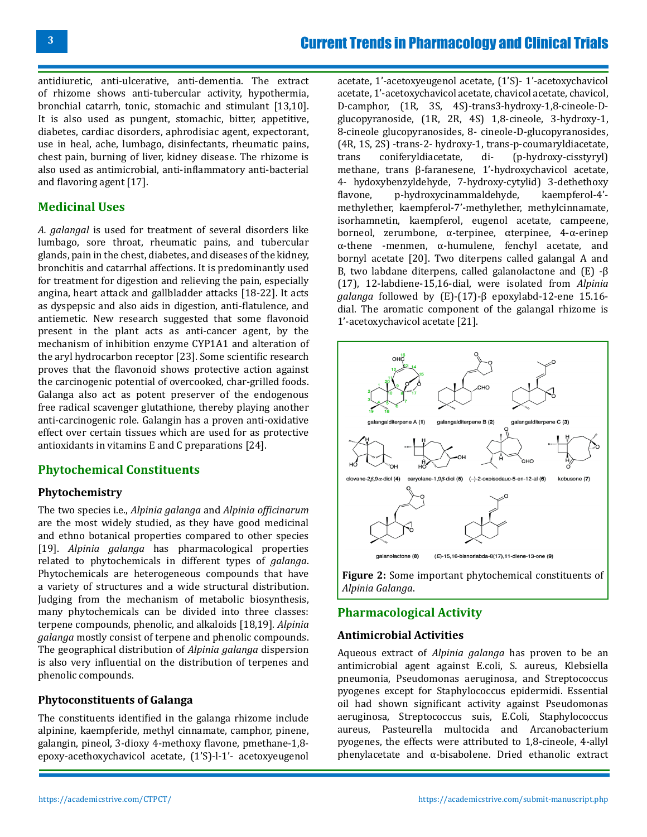antidiuretic, anti-ulcerative, anti-dementia. The extract of rhizome shows anti-tubercular activity, hypothermia, bronchial catarrh, tonic, stomachic and stimulant [13,10]. It is also used as pungent, stomachic, bitter, appetitive, diabetes, cardiac disorders, aphrodisiac agent, expectorant, use in heal, ache, lumbago, disinfectants, rheumatic pains, chest pain, burning of liver, kidney disease. The rhizome is also used as antimicrobial, anti-inflammatory anti-bacterial and flavoring agent [17].

# **Medicinal Uses**

*A. galangal* is used for treatment of several disorders like lumbago, sore throat, rheumatic pains, and tubercular glands, pain in the chest, diabetes, and diseases of the kidney, bronchitis and catarrhal affections. It is predominantly used for treatment for digestion and relieving the pain, especially angina, heart attack and gallbladder attacks [18-22]. It acts as dyspepsic and also aids in digestion, anti-flatulence, and antiemetic. New research suggested that some flavonoid present in the plant acts as anti-cancer agent, by the mechanism of inhibition enzyme CYP1A1 and alteration of the aryl hydrocarbon receptor [23]. Some scientific research proves that the flavonoid shows protective action against the carcinogenic potential of overcooked, char-grilled foods. Galanga also act as potent preserver of the endogenous free radical scavenger glutathione, thereby playing another anti-carcinogenic role. Galangin has a proven anti-oxidative effect over certain tissues which are used for as protective antioxidants in vitamins E and C preparations [24].

# **Phytochemical Constituents**

#### **Phytochemistry**

The two species i.e., *Alpinia galanga* and *Alpinia officinarum* are the most widely studied, as they have good medicinal and ethno botanical properties compared to other species [19]. *Alpinia galanga* has pharmacological properties related to phytochemicals in different types of *galanga*. Phytochemicals are heterogeneous compounds that have a variety of structures and a wide structural distribution. Judging from the mechanism of metabolic biosynthesis, many phytochemicals can be divided into three classes: terpene compounds, phenolic, and alkaloids [18,19]. *Alpinia galanga* mostly consist of terpene and phenolic compounds. The geographical distribution of *Alpinia galanga* dispersion is also very influential on the distribution of terpenes and phenolic compounds.

#### **Phytoconstituents of Galanga**

The constituents identified in the galanga rhizome include alpinine, kaempferide, methyl cinnamate, camphor, pinene, galangin, pineol, 3-dioxy 4-methoxy flavone, pmethane-1,8 epoxy-acethoxychavicol acetate, (1'S)-l-1'- acetoxyeugenol

acetate, 1'-acetoxyeugenol acetate, (1'S)- 1'-acetoxychavicol acetate, 1'-acetoxychavicol acetate, chavicol acetate, chavicol, D-camphor, (1R, 3S, 4S)-trans3-hydroxy-1,8-cineole-Dglucopyranoside, (1R, 2R, 4S) 1,8-cineole, 3-hydroxy-1, 8-cineole glucopyranosides, 8- cineole-D-glucopyranosides, (4R, 1S, 2S) -trans-2- hydroxy-1, trans-p-coumaryldiacetate,  $(p-hydroxy-cisstvrvl)$ methane, trans β-faranesene, 1'-hydroxychavicol acetate, 4- hydoxybenzyldehyde, 7-hydroxy-cytylid) 3-dethethoxy p-hydroxycinammaldehyde, methylether, kaempferol-7'-methylether, methylcinnamate, isorhamnetin, kaempferol, eugenol acetate, campeene, borneol, zerumbone, α-terpinee, αterpinee, 4-α-erinep α-thene -menmen, α-humulene, fenchyl acetate, and bornyl acetate [20]. Two diterpens called galangal A and B, two labdane diterpens, called galanolactone and (E) -β (17), 12-labdiene-15,16-dial, were isolated from *Alpinia galanga* followed by (E)-(17)-β epoxylabd-12-ene 15.16 dial. The aromatic component of the galangal rhizome is 1'-acetoxychavicol acetate [21].



**Figure 2:** Some important phytochemical constituents of *Alpinia Galanga*.

# **Pharmacological Activity**

#### **Antimicrobial Activities**

Aqueous extract of *Alpinia galanga* has proven to be an antimicrobial agent against E.coli, S. aureus, Klebsiella pneumonia, Pseudomonas aeruginosa, and Streptococcus pyogenes except for Staphylococcus epidermidi. Essential oil had shown significant activity against Pseudomonas aeruginosa, Streptococcus suis, E.Coli, Staphylococcus aureus, Pasteurella multocida and Arcanobacterium pyogenes, the effects were attributed to 1,8-cineole, 4-allyl phenylacetate and α-bisabolene. Dried ethanolic extract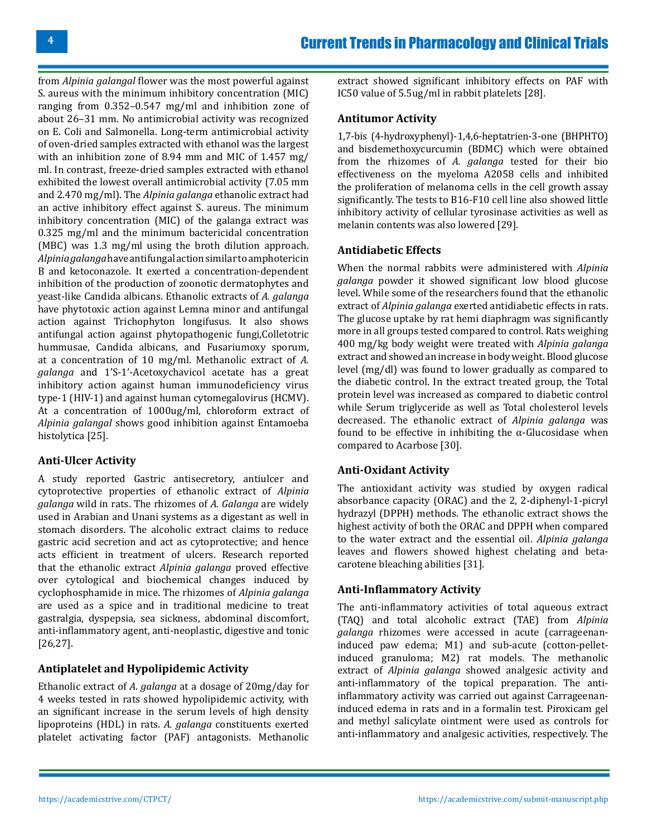from *Alpinia galangal* flower was the most powerful against S. aureus with the minimum inhibitory concentration (MIC) ranging from 0.352–0.547 mg/ml and inhibition zone of about 26–31 mm. No antimicrobial activity was recognized on E. Coli and Salmonella. Long-term antimicrobial activity of oven-dried samples extracted with ethanol was the largest with an inhibition zone of 8.94 mm and MIC of 1.457 mg/ ml. In contrast, freeze-dried samples extracted with ethanol exhibited the lowest overall antimicrobial activity (7.05 mm and 2.470 mg/ml). The *Alpinia galanga* ethanolic extract had an active inhibitory effect against S. aureus. The minimum inhibitory concentration (MIC) of the galanga extract was 0.325 mg/ml and the minimum bactericidal concentration (MBC) was 1.3 mg/ml using the broth dilution approach. *Alpinia galanga* have antifungal action similar to amphotericin B and ketoconazole. It exerted a concentration-dependent inhibition of the production of zoonotic dermatophytes and yeast-like Candida albicans. Ethanolic extracts of *A. galanga* have phytotoxic action against Lemna minor and antifungal action against Trichophyton longifusus. It also shows antifungal action against phytopathogenic fungi,Colletotric hummusae, Candida albicans, and Fusariumoxy sporum, at a concentration of 10 mg/ml. Methanolic extract of *A. galanga* and 1'S-1'-Acetoxychavicol acetate has a great inhibitory action against human immunodeficiency virus type-1 (HIV-1) and against human cytomegalovirus (HCMV). At a concentration of 1000ug/ml, chloroform extract of *Alpinia galangal* shows good inhibition against Entamoeba histolytica [25].

#### **Anti-Ulcer Activity**

A study reported Gastric antisecretory, antiulcer and cytoprotective properties of ethanolic extract of *Alpinia galanga* wild in rats. The rhizomes of *A. Galanga* are widely used in Arabian and Unani systems as a digestant as well in stomach disorders. The alcoholic extract claims to reduce gastric acid secretion and act as cytoprotective; and hence acts efficient in treatment of ulcers. Research reported that the ethanolic extract *Alpinia galanga* proved effective over cytological and biochemical changes induced by cyclophosphamide in mice. The rhizomes of *Alpinia galanga*  are used as a spice and in traditional medicine to treat gastralgia, dyspepsia, sea sickness, abdominal discomfort, anti-inflammatory agent, anti-neoplastic, digestive and tonic [26,27].

#### **Antiplatelet and Hypolipidemic Activity**

Ethanolic extract of *A*. *galanga* at a dosage of 20mg/day for 4 weeks tested in rats showed hypolipidemic activity, with an significant increase in the serum levels of high density lipoproteins (HDL) in rats. *A. galanga* constituents exerted platelet activating factor (PAF) antagonists. Methanolic

extract showed significant inhibitory effects on PAF with IC50 value of 5.5ug/ml in rabbit platelets [28].

#### **Antitumor Activity**

1,7-bis (4-hydroxyphenyl)-1,4,6-heptatrien-3-one (BHPHTO) and bisdemethoxycurcumin (BDMC) which were obtained from the rhizomes of *A. galanga* tested for their bio effectiveness on the myeloma A2058 cells and inhibited the proliferation of melanoma cells in the cell growth assay significantly. The tests to B16-F10 cell line also showed little inhibitory activity of cellular tyrosinase activities as well as melanin contents was also lowered [29].

#### **Antidiabetic Effects**

When the normal rabbits were administered with *Alpinia galanga* powder it showed significant low blood glucose level. While some of the researchers found that the ethanolic extract of *Alpinia galanga* exerted antidiabetic effects in rats. The glucose uptake by rat hemi diaphragm was significantly more in all groups tested compared to control. Rats weighing 400 mg/kg body weight were treated with *Alpinia galanga*  extract and showed an increase in body weight. Blood glucose level (mg/dl) was found to lower gradually as compared to the diabetic control. In the extract treated group, the Total protein level was increased as compared to diabetic control while Serum triglyceride as well as Total cholesterol levels decreased. The ethanolic extract of *Alpinia galanga* was found to be effective in inhibiting the α-Glucosidase when compared to Acarbose [30].

#### **Anti-Oxidant Activity**

The antioxidant activity was studied by oxygen radical absorbance capacity (ORAC) and the 2, 2-diphenyl-1-picryl hydrazyl (DPPH) methods. The ethanolic extract shows the highest activity of both the ORAC and DPPH when compared to the water extract and the essential oil. *Alpinia galanga* leaves and flowers showed highest chelating and betacarotene bleaching abilities [31].

#### **Anti-Inflammatory Activity**

The anti-inflammatory activities of total aqueous extract (TAQ) and total alcoholic extract (TAE) from *Alpinia galanga* rhizomes were accessed in acute (carrageenaninduced paw edema; M1) and sub-acute (cotton-pelletinduced granuloma; M2) rat models. The methanolic extract of *Alpinia galanga* showed analgesic activity and anti-inflammatory of the topical preparation. The antiinflammatory activity was carried out against Carrageenaninduced edema in rats and in a formalin test. Piroxicam gel and methyl salicylate ointment were used as controls for anti-inflammatory and analgesic activities, respectively. The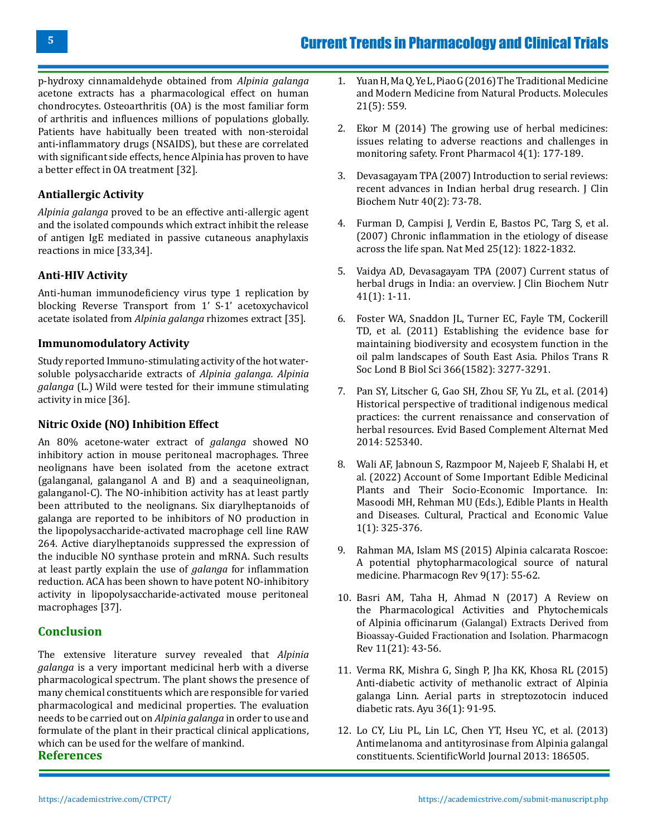p-hydroxy cinnamaldehyde obtained from *Alpinia galanga* acetone extracts has a pharmacological effect on human chondrocytes. Osteoarthritis (OA) is the most familiar form of arthritis and influences millions of populations globally. Patients have habitually been treated with non-steroidal anti-inflammatory drugs (NSAIDS), but these are correlated with significant side effects, hence Alpinia has proven to have a better effect in OA treatment [32].

### **Antiallergic Activity**

*Alpinia galanga* proved to be an effective anti-allergic agent and the isolated compounds which extract inhibit the release of antigen IgE mediated in passive cutaneous anaphylaxis reactions in mice [33,34].

#### **Anti-HIV Activity**

Anti-human immunodeficiency virus type 1 replication by blocking Reverse Transport from 1' S-1' acetoxychavicol acetate isolated from *Alpinia galanga* rhizomes extract [35].

#### **Immunomodulatory Activity**

Study reported Immuno-stimulating activity of the hot watersoluble polysaccharide extracts of *Alpinia galanga. Alpinia galanga* (L.) Wild were tested for their immune stimulating activity in mice [36].

#### **Nitric Oxide (NO) Inhibition Effect**

An 80% acetone-water extract of *galanga* showed NO inhibitory action in mouse peritoneal macrophages. Three neolignans have been isolated from the acetone extract (galanganal, galanganol A and B) and a seaquineolignan, galanganol-C). The NO-inhibition activity has at least partly been attributed to the neolignans. Six diarylheptanoids of galanga are reported to be inhibitors of NO production in the lipopolysaccharide-activated macrophage cell line RAW 264. Active diarylheptanoids suppressed the expression of the inducible NO synthase protein and mRNA. Such results at least partly explain the use of *galanga* for inflammation reduction. ACA has been shown to have potent NO-inhibitory activity in lipopolysaccharide-activated mouse peritoneal macrophages [37].

#### **Conclusion**

The extensive literature survey revealed that *Alpinia galanga* is a very important medicinal herb with a diverse pharmacological spectrum. The plant shows the presence of many chemical constituents which are responsible for varied pharmacological and medicinal properties. The evaluation needs to be carried out on *Alpinia galanga* in order to use and formulate of the plant in their practical clinical applications, which can be used for the welfare of mankind.

**References**

- 1. [Yuan H, Ma Q, Ye L, Piao G \(2016\) The Traditional Medicine](https://pubmed.ncbi.nlm.nih.gov/27136524/)  [and Modern Medicine from Natural Products.](https://pubmed.ncbi.nlm.nih.gov/27136524/) Molecules [21\(5\): 559.](https://pubmed.ncbi.nlm.nih.gov/27136524/)
- 2. [Ekor M \(2014\) The growing use of herbal medicines:](https://pubmed.ncbi.nlm.nih.gov/24454289/) [issues relating to adverse reactions and challenges in](https://pubmed.ncbi.nlm.nih.gov/24454289/)  monitoring safety. [Front Pharmacol 4\(1\): 177-189.](https://pubmed.ncbi.nlm.nih.gov/24454289/)
- 3. [Devasagayam TPA \(2007\) Introduction to serial reviews:](https://pubmed.ncbi.nlm.nih.gov/18188407/) [recent advances in Indian herbal drug research.](https://pubmed.ncbi.nlm.nih.gov/18188407/) J Clin [Biochem Nutr 40\(2\): 73-78.](https://pubmed.ncbi.nlm.nih.gov/18188407/)
- 4. [Furman D, Campisi J, Verdin E, Bastos PC, Targ S, et al.](https://pubmed.ncbi.nlm.nih.gov/31806905/)  [\(2007\) Chronic inflammation in the etiology of disease](https://pubmed.ncbi.nlm.nih.gov/31806905/) across the life span. [Nat Med 25\(12\): 1822-1832.](https://pubmed.ncbi.nlm.nih.gov/31806905/)
- 5. [Vaidya AD, Devasagayam TPA \(2007\) Current status of](https://pubmed.ncbi.nlm.nih.gov/18392106/)  [herbal drugs in India: an overview.](https://pubmed.ncbi.nlm.nih.gov/18392106/) J Clin Biochem Nutr [41\(1\): 1-11.](https://pubmed.ncbi.nlm.nih.gov/18392106/)
- 6. [Foster WA, Snaddon JL, Turner EC, Fayle TM, Cockerill](https://royalsocietypublishing.org/doi/10.1098/rstb.2011.0041)  [TD, et al. \(2011\) Establishing the evidence base for](https://royalsocietypublishing.org/doi/10.1098/rstb.2011.0041)  [maintaining biodiversity and ecosystem function in the](https://royalsocietypublishing.org/doi/10.1098/rstb.2011.0041) [oil palm landscapes of South East Asia.](https://royalsocietypublishing.org/doi/10.1098/rstb.2011.0041) Philos Trans R [Soc Lond B Biol Sci 366\(1582\): 3277-3291.](https://royalsocietypublishing.org/doi/10.1098/rstb.2011.0041)
- 7. [Pan SY, Litscher G, Gao SH, Zhou SF, Yu ZL, et al. \(2014\)](https://www.hindawi.com/journals/ecam/2014/525340/) [Historical perspective of traditional indigenous medical](https://www.hindawi.com/journals/ecam/2014/525340/)  [practices: the current renaissance and conservation of](https://www.hindawi.com/journals/ecam/2014/525340/)  herbal resources. [Evid Based Complement Alternat Med](https://www.hindawi.com/journals/ecam/2014/525340/)  [2014: 525340.](https://www.hindawi.com/journals/ecam/2014/525340/)
- 8. [Wali AF, Jabnoun S, Razmpoor M, Najeeb F, Shalabi H, et](https://link.springer.com/chapter/10.1007/978-981-16-4880-9_14)  [al. \(2022\) Account of Some Important Edible Medicinal](https://link.springer.com/chapter/10.1007/978-981-16-4880-9_14) [Plants and Their Socio-Economic Importance. In:](https://link.springer.com/chapter/10.1007/978-981-16-4880-9_14) [Masoodi MH, Rehman MU \(Eds.\), Edible Plants in Health](https://link.springer.com/chapter/10.1007/978-981-16-4880-9_14)  [and Diseases. Cultural, Practical and Economic Value](https://link.springer.com/chapter/10.1007/978-981-16-4880-9_14)  [1\(1\): 325-376.](https://link.springer.com/chapter/10.1007/978-981-16-4880-9_14)
- 9. [Rahman MA, Islam MS \(2015\) Alpinia calcarata Roscoe:](https://pubmed.ncbi.nlm.nih.gov/26009694/) [A potential phytopharmacological source of natural](https://pubmed.ncbi.nlm.nih.gov/26009694/)  medicine. [Pharmacogn Rev 9\(17\): 55-62.](https://pubmed.ncbi.nlm.nih.gov/26009694/)
- 10. [Basri AM, Taha H, Ahmad N \(2017\) A Review on](https://pubmed.ncbi.nlm.nih.gov/28503054/) [the Pharmacological Activities and Phytochemicals](https://pubmed.ncbi.nlm.nih.gov/28503054/) of Alpinia officinarum [\(Galangal\) Extracts Derived from](https://pubmed.ncbi.nlm.nih.gov/28503054/) [Bioassay-Guided Fractionation and Isolation.](https://pubmed.ncbi.nlm.nih.gov/28503054/) Pharmacogn [Rev 11\(21\): 43-56.](https://pubmed.ncbi.nlm.nih.gov/28503054/)
- 11. [Verma RK, Mishra G, Singh P, Jha KK, Khosa RL \(2015\)](https://pubmed.ncbi.nlm.nih.gov/26730146/) [Anti-diabetic activity of methanolic extract of Alpinia](https://pubmed.ncbi.nlm.nih.gov/26730146/)  [galanga Linn. Aerial parts in streptozotocin induced](https://pubmed.ncbi.nlm.nih.gov/26730146/)  diabetic rats. [Ayu 36\(1\): 91-95.](https://pubmed.ncbi.nlm.nih.gov/26730146/)
- 12. [Lo CY, Liu PL, Lin LC, Chen YT, Hseu YC, et al. \(2013\)](https://www.hindawi.com/journals/tswj/2013/186505/) [Antimelanoma and antityrosinase from Alpinia galangal](https://www.hindawi.com/journals/tswj/2013/186505/)  constituents. [ScientificWorld Journal 2013: 186505.](https://www.hindawi.com/journals/tswj/2013/186505/)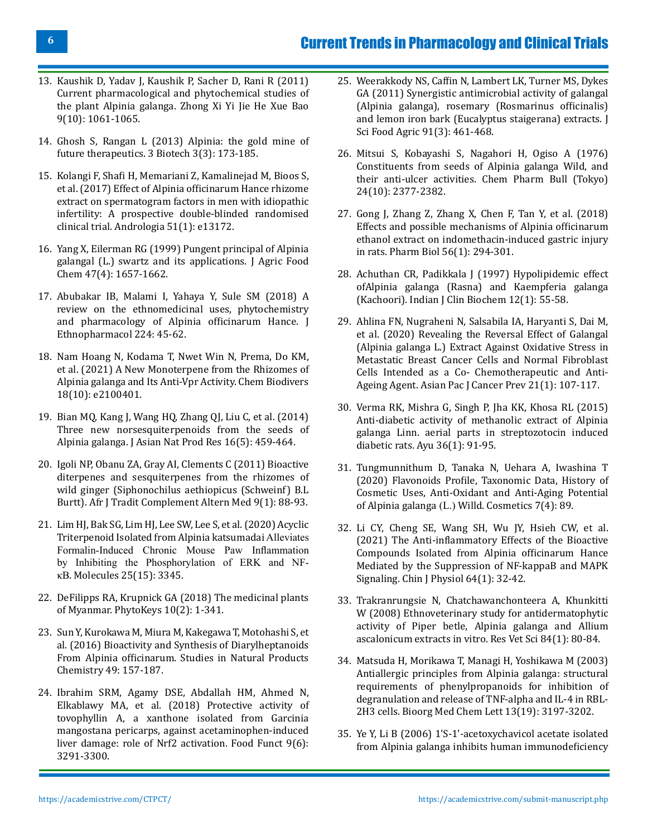# Current Trends in Pharmacology and Clinical Trials

- 13. [Kaushik D, Yadav J, Kaushik P, Sacher D, Rani R \(2011\)](https://pubmed.ncbi.nlm.nih.gov/22015185/) [Current pharmacological and phytochemical studies of](https://pubmed.ncbi.nlm.nih.gov/22015185/) the plant Alpinia galanga. [Zhong Xi Yi Jie He Xue Bao](https://pubmed.ncbi.nlm.nih.gov/22015185/) [9\(10\): 1061-1065.](https://pubmed.ncbi.nlm.nih.gov/22015185/)
- 14. [Ghosh S, Rangan L \(2013\) Alpinia: the gold mine of](https://pubmed.ncbi.nlm.nih.gov/28324376/) future therapeutics. [3 Biotech 3\(3\): 173-185.](https://pubmed.ncbi.nlm.nih.gov/28324376/)
- 15. [Kolangi F, Shafi H, Memariani Z, Kamalinejad M, Bioos S,](https://pubmed.ncbi.nlm.nih.gov/30378695/) [et al. \(2017\) Effect of Alpinia officinarum Hance rhizome](https://pubmed.ncbi.nlm.nih.gov/30378695/) [extract on spermatogram factors in men with idiopathic](https://pubmed.ncbi.nlm.nih.gov/30378695/) [infertility: A prospective double-blinded randomised](https://pubmed.ncbi.nlm.nih.gov/30378695/) clinical trial. [Andrologia 51\(1\): e13172.](https://pubmed.ncbi.nlm.nih.gov/30378695/)
- 16. [Yang X, Eilerman RG \(1999\) Pungent principal of Alpinia](https://pubmed.ncbi.nlm.nih.gov/10564034/) [galangal \(L.\) swartz and its applications.](https://pubmed.ncbi.nlm.nih.gov/10564034/) J Agric Food [Chem 47\(4\): 1657-1662.](https://pubmed.ncbi.nlm.nih.gov/10564034/)
- 17. [Abubakar IB, Malami I, Yahaya Y, Sule SM \(2018\) A](https://pubmed.ncbi.nlm.nih.gov/29803568/) [review on the ethnomedicinal uses, phytochemistry](https://pubmed.ncbi.nlm.nih.gov/29803568/) [and pharmacology of Alpinia officinarum Hance.](https://pubmed.ncbi.nlm.nih.gov/29803568/) J [Ethnopharmacol 224: 45-62.](https://pubmed.ncbi.nlm.nih.gov/29803568/)
- 18. [Nam Hoang N, Kodama T, Nwet Win N, Prema, Do KM,](https://onlinelibrary.wiley.com/doi/abs/10.1002/cbdv.202100401) [et al. \(2021\) A New Monoterpene from the Rhizomes of](https://onlinelibrary.wiley.com/doi/abs/10.1002/cbdv.202100401) [Alpinia galanga and Its Anti-Vpr Activity.](https://onlinelibrary.wiley.com/doi/abs/10.1002/cbdv.202100401) Chem Biodivers [18\(10\): e2100401.](https://onlinelibrary.wiley.com/doi/abs/10.1002/cbdv.202100401)
- 19. [Bian MQ, Kang J, Wang HQ, Zhang QJ, Liu C, et al. \(2014\)](https://agris.fao.org/agris-search/search.do?recordID=US201600038625) [Three new norsesquiterpenoids from the seeds of](https://agris.fao.org/agris-search/search.do?recordID=US201600038625) Alpinia galanga. [J Asian Nat Prod Res 16\(5\): 459-464.](https://agris.fao.org/agris-search/search.do?recordID=US201600038625)
- 20. [Igoli NP, Obanu ZA, Gray AI, Clements C \(2011\) Bioactive](https://pubmed.ncbi.nlm.nih.gov/23983325/) [diterpenes and sesquiterpenes from the rhizomes of](https://pubmed.ncbi.nlm.nih.gov/23983325/) [wild ginger \(Siphonochilus aethiopicus \(Schweinf\) B.L](https://pubmed.ncbi.nlm.nih.gov/23983325/) Burtt). [Afr J Tradit Complement Altern Med 9\(1\): 88-93.](https://pubmed.ncbi.nlm.nih.gov/23983325/)
- 21. [Lim HJ, Bak SG, Lim HJ, Lee SW, Lee S, et al. \(2020\) Acyclic](https://pubmed.ncbi.nlm.nih.gov/32717961/) [Triterpenoid Isolated from](https://pubmed.ncbi.nlm.nih.gov/32717961/) Alpinia katsumadai Alleviates [Formalin-Induced Chronic Mouse Paw Inflammation](https://pubmed.ncbi.nlm.nih.gov/32717961/) [by Inhibiting the Phosphorylation of ERK and NF](https://pubmed.ncbi.nlm.nih.gov/32717961/)κB. [Molecules 25\(15\): 3345.](https://pubmed.ncbi.nlm.nih.gov/32717961/)
- 22. [DeFilipps RA, Krupnick GA \(2018\) The medicinal plants](https://pubmed.ncbi.nlm.nih.gov/30002597/) of Myanmar. [PhytoKeys 10\(2\): 1-341.](https://pubmed.ncbi.nlm.nih.gov/30002597/)
- 23. [Sun Y, Kurokawa M, Miura M, Kakegawa T, Motohashi S, et](https://www.semanticscholar.org/paper/Bioactivity-and-Synthesis-of-Diarylheptanoids-From-Sun-Kurokawa/b18adddd6d5ec17b76a1449000800fc523a76589) [al. \(2016\) Bioactivity and Synthesis of Diarylheptanoids](https://www.semanticscholar.org/paper/Bioactivity-and-Synthesis-of-Diarylheptanoids-From-Sun-Kurokawa/b18adddd6d5ec17b76a1449000800fc523a76589) From Alpinia officinarum. [Studies in Natural Products](https://www.semanticscholar.org/paper/Bioactivity-and-Synthesis-of-Diarylheptanoids-From-Sun-Kurokawa/b18adddd6d5ec17b76a1449000800fc523a76589) [Chemistry 49: 157-187.](https://www.semanticscholar.org/paper/Bioactivity-and-Synthesis-of-Diarylheptanoids-From-Sun-Kurokawa/b18adddd6d5ec17b76a1449000800fc523a76589)
- 24. [Ibrahim SRM, Agamy DSE, Abdallah HM, Ahmed N,](https://pubmed.ncbi.nlm.nih.gov/29790527/) [Elkablawy MA, et al. \(2018\) Protective activity of](https://pubmed.ncbi.nlm.nih.gov/29790527/) [tovophyllin A, a xanthone isolated from Garcinia](https://pubmed.ncbi.nlm.nih.gov/29790527/) [mangostana pericarps, against acetaminophen-induced](https://pubmed.ncbi.nlm.nih.gov/29790527/) [liver damage: role of Nrf2 activation.](https://pubmed.ncbi.nlm.nih.gov/29790527/) Food Funct 9(6): [3291-3300.](https://pubmed.ncbi.nlm.nih.gov/29790527/)
- 25. [Weerakkody NS, Caffin N, Lambert LK, Turner MS, Dykes](https://pubmed.ncbi.nlm.nih.gov/21218479/) [GA \(2011\) Synergistic antimicrobial activity of galangal](https://pubmed.ncbi.nlm.nih.gov/21218479/)  [\(Alpinia galanga\), rosemary \(Rosmarinus officinalis\)](https://pubmed.ncbi.nlm.nih.gov/21218479/) [and lemon iron bark \(Eucalyptus staigerana\) extracts.](https://pubmed.ncbi.nlm.nih.gov/21218479/) J [Sci Food Agric 91\(3\): 461-468.](https://pubmed.ncbi.nlm.nih.gov/21218479/)
- 26. [Mitsui S, Kobayashi S, Nagahori H, Ogiso A \(1976\)](https://pubmed.ncbi.nlm.nih.gov/1017082/) [Constituents from seeds of Alpinia galanga Wild, and](https://pubmed.ncbi.nlm.nih.gov/1017082/)  their anti-ulcer activities. [Chem Pharm Bull \(Tokyo\)](https://pubmed.ncbi.nlm.nih.gov/1017082/) [24\(10\): 2377-2382.](https://pubmed.ncbi.nlm.nih.gov/1017082/)
- 27. [Gong J, Zhang Z, Zhang X, Chen F, Tan Y, et al. \(2018\)](https://pubmed.ncbi.nlm.nih.gov/29781354/) [Effects and possible mechanisms of Alpinia officinarum](https://pubmed.ncbi.nlm.nih.gov/29781354/) [ethanol extract on indomethacin-induced gastric injury](https://pubmed.ncbi.nlm.nih.gov/29781354/) in rats. [Pharm Biol 56\(1\): 294-301.](https://pubmed.ncbi.nlm.nih.gov/29781354/)
- 28. [Achuthan CR, Padikkala J \(1997\) Hypolipidemic effect](https://pubmed.ncbi.nlm.nih.gov/23100864/)  [ofAlpinia galanga \(Rasna\) and Kaempferia galanga](https://pubmed.ncbi.nlm.nih.gov/23100864/)  (Kachoori). [Indian J Clin Biochem 12\(1\): 55-58.](https://pubmed.ncbi.nlm.nih.gov/23100864/)
- 29. [Ahlina FN, Nugraheni N, Salsabila IA, Haryanti S, Dai M,](https://pubmed.ncbi.nlm.nih.gov/31983172/)  [et al. \(2020\) Revealing the Reversal Effect of Galangal](https://pubmed.ncbi.nlm.nih.gov/31983172/)  [\(Alpinia galanga L.\) Extract Against Oxidative Stress in](https://pubmed.ncbi.nlm.nih.gov/31983172/)  [Metastatic Breast Cancer Cells and Normal Fibroblast](https://pubmed.ncbi.nlm.nih.gov/31983172/)  [Cells Intended as a Co- Chemotherapeutic and Anti-](https://pubmed.ncbi.nlm.nih.gov/31983172/)Ageing Agent. [Asian Pac J Cancer Prev 21\(1\): 107-117.](https://pubmed.ncbi.nlm.nih.gov/31983172/)
- 30. [Verma RK, Mishra G, Singh P, Jha KK, Khosa RL \(2015\)](https://pubmed.ncbi.nlm.nih.gov/26730146/) [Anti-diabetic activity of methanolic extract of Alpinia](https://pubmed.ncbi.nlm.nih.gov/26730146/)  [galanga Linn. aerial parts in streptozotocin induced](https://pubmed.ncbi.nlm.nih.gov/26730146/)  diabetic rats. [Ayu 36\(1\): 91-95.](https://pubmed.ncbi.nlm.nih.gov/26730146/)
- 31. [Tungmunnithum D, Tanaka N, Uehara A, Iwashina T](https://www.mdpi.com/2079-9284/7/4/89)  [\(2020\) Flavonoids Profile, Taxonomic Data, History of](https://www.mdpi.com/2079-9284/7/4/89) [Cosmetic Uses, Anti-Oxidant and Anti-Aging Potential](https://www.mdpi.com/2079-9284/7/4/89)  of Alpinia galanga (L.) Willd. Cosmetics 7(4): 89.
- 32. [Li CY, Cheng SE, Wang SH, Wu JY, Hsieh CW, et al.](https://pubmed.ncbi.nlm.nih.gov/33642342/)  [\(2021\) The Anti-inflammatory Effects of the Bioactive](https://pubmed.ncbi.nlm.nih.gov/33642342/) [Compounds Isolated from](https://pubmed.ncbi.nlm.nih.gov/33642342/) Alpinia officinarum Hance [Mediated by the Suppression of NF-kappaB and MAPK](https://pubmed.ncbi.nlm.nih.gov/33642342/)  Signaling. [Chin J Physiol 64\(1\): 32-42.](https://pubmed.ncbi.nlm.nih.gov/33642342/)
- 33. [Trakranrungsie N, Chatchawanchonteera A, Khunkitti](https://pubmed.ncbi.nlm.nih.gov/17482221/)  [W \(2008\) Ethnoveterinary study for antidermatophytic](https://pubmed.ncbi.nlm.nih.gov/17482221/) [activity of Piper betle, Alpinia galanga and Allium](https://pubmed.ncbi.nlm.nih.gov/17482221/)  [ascalonicum extracts in vitro.](https://pubmed.ncbi.nlm.nih.gov/17482221/) Res Vet Sci 84(1): 80-84.
- 34. [Matsuda H, Morikawa T, Managi H, Yoshikawa M \(2003\)](https://pubmed.ncbi.nlm.nih.gov/12951092/) [Antiallergic principles from Alpinia galanga: structural](https://pubmed.ncbi.nlm.nih.gov/12951092/)  [requirements of phenylpropanoids for inhibition of](https://pubmed.ncbi.nlm.nih.gov/12951092/) [degranulation and release of TNF-alpha and IL-4 in RBL-](https://pubmed.ncbi.nlm.nih.gov/12951092/)2H3 cells. [Bioorg Med Chem Lett 13\(19\): 3197-3202.](https://pubmed.ncbi.nlm.nih.gov/12951092/)
- 35. [Ye Y, Li B \(2006\) 1'S-1'-acetoxychavicol acetate isolated](https://pubmed.ncbi.nlm.nih.gov/16760408/) [from Alpinia galanga inhibits human immunodeficiency](https://pubmed.ncbi.nlm.nih.gov/16760408/)